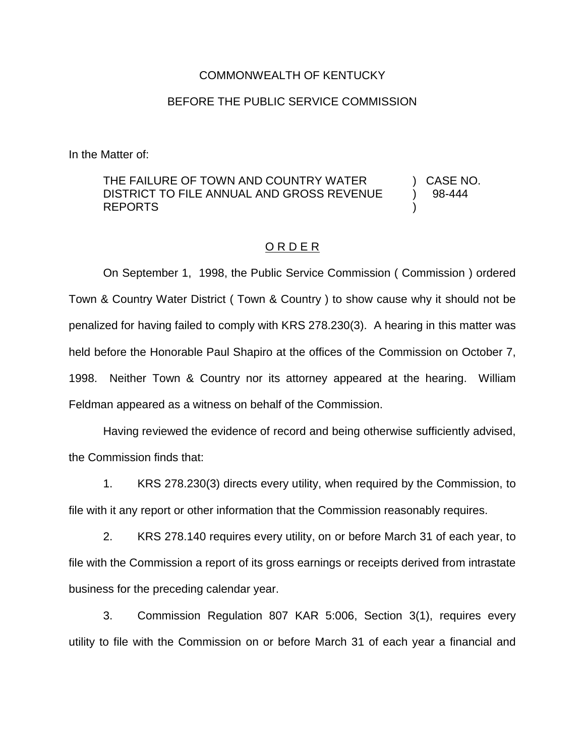## COMMONWEALTH OF KENTUCKY

## BEFORE THE PUBLIC SERVICE COMMISSION

In the Matter of:

## THE FAILURE OF TOWN AND COUNTRY WATER ) CASE NO. DISTRICT TO FILE ANNUAL AND GROSS REVENUE  $\rightarrow$  98-444 REPORTS )

## O R D E R

On September 1, 1998, the Public Service Commission ( Commission ) ordered Town & Country Water District ( Town & Country ) to show cause why it should not be penalized for having failed to comply with KRS 278.230(3). A hearing in this matter was held before the Honorable Paul Shapiro at the offices of the Commission on October 7, 1998. Neither Town & Country nor its attorney appeared at the hearing. William Feldman appeared as a witness on behalf of the Commission.

Having reviewed the evidence of record and being otherwise sufficiently advised, the Commission finds that:

1. KRS 278.230(3) directs every utility, when required by the Commission, to file with it any report or other information that the Commission reasonably requires.

2. KRS 278.140 requires every utility, on or before March 31 of each year, to file with the Commission a report of its gross earnings or receipts derived from intrastate business for the preceding calendar year.

3. Commission Regulation 807 KAR 5:006, Section 3(1), requires every utility to file with the Commission on or before March 31 of each year a financial and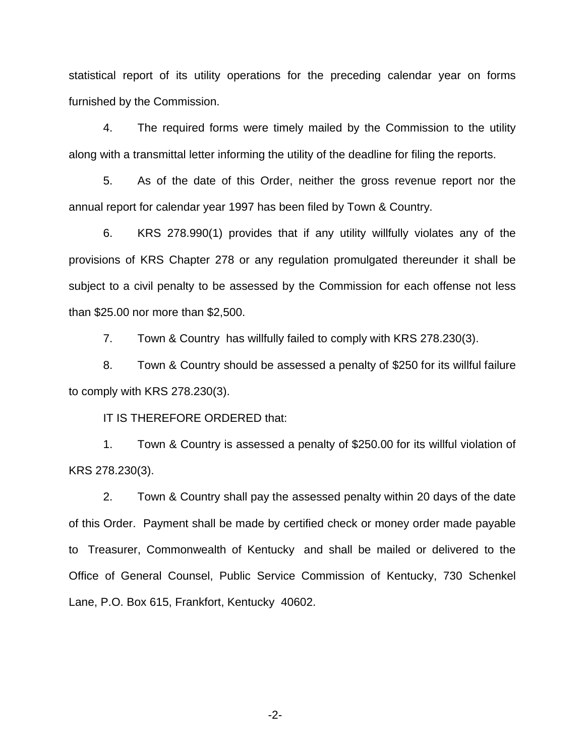statistical report of its utility operations for the preceding calendar year on forms furnished by the Commission.

4. The required forms were timely mailed by the Commission to the utility along with a transmittal letter informing the utility of the deadline for filing the reports.

5. As of the date of this Order, neither the gross revenue report nor the annual report for calendar year 1997 has been filed by Town & Country.

6. KRS 278.990(1) provides that if any utility willfully violates any of the provisions of KRS Chapter 278 or any regulation promulgated thereunder it shall be subject to a civil penalty to be assessed by the Commission for each offense not less than \$25.00 nor more than \$2,500.

7. Town & Country has willfully failed to comply with KRS 278.230(3).

8. Town & Country should be assessed a penalty of \$250 for its willful failure to comply with KRS 278.230(3).

IT IS THEREFORE ORDERED that:

1. Town & Country is assessed a penalty of \$250.00 for its willful violation of KRS 278.230(3).

2. Town & Country shall pay the assessed penalty within 20 days of the date of this Order. Payment shall be made by certified check or money order made payable to Treasurer, Commonwealth of Kentucky and shall be mailed or delivered to the Office of General Counsel, Public Service Commission of Kentucky, 730 Schenkel Lane, P.O. Box 615, Frankfort, Kentucky 40602.

-2-